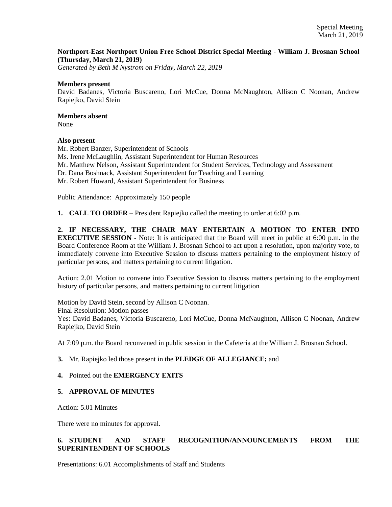### **Northport-East Northport Union Free School District Special Meeting - William J. Brosnan School (Thursday, March 21, 2019)**

*Generated by Beth M Nystrom on Friday, March 22, 2019*

#### **Members present**

David Badanes, Victoria Buscareno, Lori McCue, Donna McNaughton, Allison C Noonan, Andrew Rapiejko, David Stein

# **Members absent**

None

### **Also present**

Mr. Robert Banzer, Superintendent of Schools Ms. Irene McLaughlin, Assistant Superintendent for Human Resources Mr. Matthew Nelson, Assistant Superintendent for Student Services, Technology and Assessment Dr. Dana Boshnack, Assistant Superintendent for Teaching and Learning Mr. Robert Howard, Assistant Superintendent for Business

Public Attendance: Approximately 150 people

**1. CALL TO ORDER** – President Rapiejko called the meeting to order at 6:02 p.m.

**2. IF NECESSARY, THE CHAIR MAY ENTERTAIN A MOTION TO ENTER INTO EXECUTIVE SESSION** - Note: It is anticipated that the Board will meet in public at 6:00 p.m. in the Board Conference Room at the William J. Brosnan School to act upon a resolution, upon majority vote, to immediately convene into Executive Session to discuss matters pertaining to the employment history of particular persons, and matters pertaining to current litigation.

Action: 2.01 Motion to convene into Executive Session to discuss matters pertaining to the employment history of particular persons, and matters pertaining to current litigation

Motion by David Stein, second by Allison C Noonan. Final Resolution: Motion passes Yes: David Badanes, Victoria Buscareno, Lori McCue, Donna McNaughton, Allison C Noonan, Andrew Rapiejko, David Stein

At 7:09 p.m. the Board reconvened in public session in the Cafeteria at the William J. Brosnan School.

### **3.** Mr. Rapiejko led those present in the **PLEDGE OF ALLEGIANCE;** and

### **4.** Pointed out the **EMERGENCY EXITS**

### **5. APPROVAL OF MINUTES**

Action: 5.01 Minutes

There were no minutes for approval.

# **6. STUDENT AND STAFF RECOGNITION/ANNOUNCEMENTS FROM THE SUPERINTENDENT OF SCHOOLS**

Presentations: 6.01 Accomplishments of Staff and Students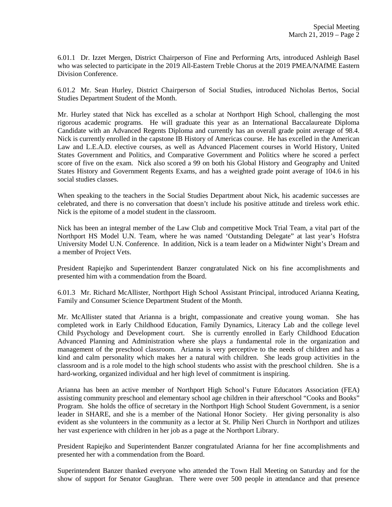6.01.1 Dr. Izzet Mergen, District Chairperson of Fine and Performing Arts, introduced Ashleigh Basel who was selected to participate in the 2019 All-Eastern Treble Chorus at the 2019 PMEA/NAfME Eastern Division Conference.

6.01.2 Mr. Sean Hurley, District Chairperson of Social Studies, introduced Nicholas Bertos, Social Studies Department Student of the Month.

Mr. Hurley stated that Nick has excelled as a scholar at Northport High School, challenging the most rigorous academic programs. He will graduate this year as an International Baccalaureate Diploma Candidate with an Advanced Regents Diploma and currently has an overall grade point average of 98.4. Nick is currently enrolled in the capstone IB History of Americas course. He has excelled in the American Law and L.E.A.D. elective courses, as well as Advanced Placement courses in World History, United States Government and Politics, and Comparative Government and Politics where he scored a perfect score of five on the exam. Nick also scored a 99 on both his Global History and Geography and United States History and Government Regents Exams, and has a weighted grade point average of 104.6 in his social studies classes.

When speaking to the teachers in the Social Studies Department about Nick, his academic successes are celebrated, and there is no conversation that doesn't include his positive attitude and tireless work ethic. Nick is the epitome of a model student in the classroom.

Nick has been an integral member of the Law Club and competitive Mock Trial Team, a vital part of the Northport HS Model U.N. Team, where he was named 'Outstanding Delegate" at last year's Hofstra University Model U.N. Conference. In addition, Nick is a team leader on a Midwinter Night's Dream and a member of Project Vets.

President Rapiejko and Superintendent Banzer congratulated Nick on his fine accomplishments and presented him with a commendation from the Board.

6.01.3 Mr. Richard McAllister, Northport High School Assistant Principal, introduced Arianna Keating, Family and Consumer Science Department Student of the Month.

Mr. McAllister stated that Arianna is a bright, compassionate and creative young woman. She has completed work in Early Childhood Education, Family Dynamics, Literacy Lab and the college level Child Psychology and Development court. She is currently enrolled in Early Childhood Education Advanced Planning and Administration where she plays a fundamental role in the organization and management of the preschool classroom. Arianna is very perceptive to the needs of children and has a kind and calm personality which makes her a natural with children. She leads group activities in the classroom and is a role model to the high school students who assist with the preschool children. She is a hard-working, organized individual and her high level of commitment is inspiring.

Arianna has been an active member of Northport High School's Future Educators Association (FEA) assisting community preschool and elementary school age children in their afterschool "Cooks and Books" Program. She holds the office of secretary in the Northport High School Student Government, is a senior leader in SHARE, and she is a member of the National Honor Society. Her giving personality is also evident as she volunteers in the community as a lector at St. Philip Neri Church in Northport and utilizes her vast experience with children in her job as a page at the Northport Library.

President Rapiejko and Superintendent Banzer congratulated Arianna for her fine accomplishments and presented her with a commendation from the Board.

Superintendent Banzer thanked everyone who attended the Town Hall Meeting on Saturday and for the show of support for Senator Gaughran. There were over 500 people in attendance and that presence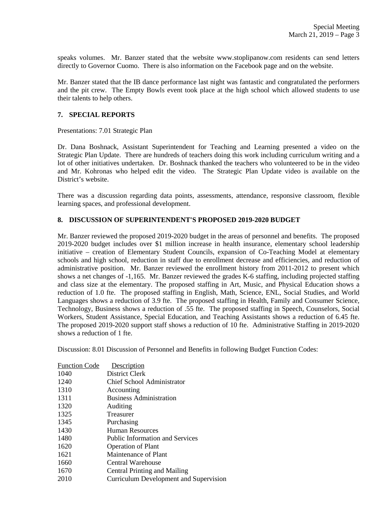speaks volumes. Mr. Banzer stated that the website www.stoplipanow.com residents can send letters directly to Governor Cuomo. There is also information on the Facebook page and on the website.

Mr. Banzer stated that the IB dance performance last night was fantastic and congratulated the performers and the pit crew. The Empty Bowls event took place at the high school which allowed students to use their talents to help others.

### **7. SPECIAL REPORTS**

Presentations: 7.01 Strategic Plan

Dr. Dana Boshnack, Assistant Superintendent for Teaching and Learning presented a video on the Strategic Plan Update. There are hundreds of teachers doing this work including curriculum writing and a lot of other initiatives undertaken. Dr. Boshnack thanked the teachers who volunteered to be in the video and Mr. Kohronas who helped edit the video. The Strategic Plan Update video is available on the District's website.

There was a discussion regarding data points, assessments, attendance, responsive classroom, flexible learning spaces, and professional development.

## **8. DISCUSSION OF SUPERINTENDENT'S PROPOSED 2019-2020 BUDGET**

Mr. Banzer reviewed the proposed 2019-2020 budget in the areas of personnel and benefits. The proposed 2019-2020 budget includes over \$1 million increase in health insurance, elementary school leadership initiative – creation of Elementary Student Councils, expansion of Co-Teaching Model at elementary schools and high school, reduction in staff due to enrollment decrease and efficiencies, and reduction of administrative position. Mr. Banzer reviewed the enrollment history from 2011-2012 to present which shows a net changes of -1,165. Mr. Banzer reviewed the grades K-6 staffing, including projected staffing and class size at the elementary. The proposed staffing in Art, Music, and Physical Education shows a reduction of 1.0 fte. The proposed staffing in English, Math, Science, ENL, Social Studies, and World Languages shows a reduction of 3.9 fte. The proposed staffing in Health, Family and Consumer Science, Technology, Business shows a reduction of .55 fte. The proposed staffing in Speech, Counselors, Social Workers, Student Assistance, Special Education, and Teaching Assistants shows a reduction of 6.45 fte. The proposed 2019-2020 support staff shows a reduction of 10 fte. Administrative Staffing in 2019-2020 shows a reduction of 1 fte.

Discussion: 8.01 Discussion of Personnel and Benefits in following Budget Function Codes:

| <b>Function Code</b> | Description                            |
|----------------------|----------------------------------------|
| 1040                 | District Clerk                         |
| 1240                 | <b>Chief School Administrator</b>      |
| 1310                 | Accounting                             |
| 1311                 | <b>Business Administration</b>         |
| 1320                 | Auditing                               |
| 1325                 | Treasurer                              |
| 1345                 | Purchasing                             |
| 1430                 | Human Resources                        |
| 1480                 | <b>Public Information and Services</b> |
| 1620                 | <b>Operation of Plant</b>              |
| 1621                 | Maintenance of Plant                   |
| 1660                 | <b>Central Warehouse</b>               |
| 1670                 | <b>Central Printing and Mailing</b>    |
| 2010                 | Curriculum Development and Supervision |
|                      |                                        |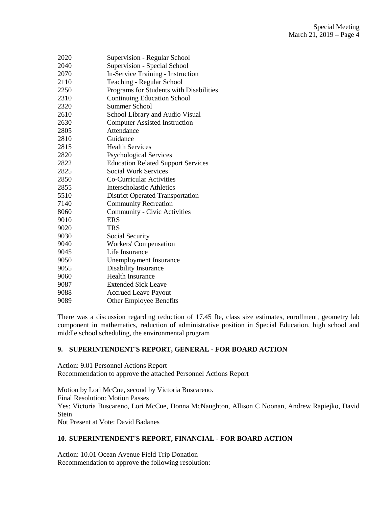| 2020 | Supervision - Regular School              |
|------|-------------------------------------------|
| 2040 | Supervision - Special School              |
| 2070 | In-Service Training - Instruction         |
| 2110 | Teaching - Regular School                 |
| 2250 | Programs for Students with Disabilities   |
| 2310 | <b>Continuing Education School</b>        |
| 2320 | <b>Summer School</b>                      |
| 2610 | School Library and Audio Visual           |
| 2630 | <b>Computer Assisted Instruction</b>      |
| 2805 | Attendance                                |
| 2810 | Guidance                                  |
| 2815 | <b>Health Services</b>                    |
| 2820 | <b>Psychological Services</b>             |
| 2822 | <b>Education Related Support Services</b> |
| 2825 | <b>Social Work Services</b>               |
| 2850 | Co-Curricular Activities                  |
| 2855 | Interscholastic Athletics                 |
| 5510 | <b>District Operated Transportation</b>   |
| 7140 | <b>Community Recreation</b>               |
| 8060 | <b>Community - Civic Activities</b>       |
| 9010 | <b>ERS</b>                                |
| 9020 | <b>TRS</b>                                |
| 9030 | Social Security                           |
| 9040 | <b>Workers' Compensation</b>              |
| 9045 | Life Insurance                            |
| 9050 | Unemployment Insurance                    |
| 9055 | Disability Insurance                      |
| 9060 | <b>Health Insurance</b>                   |
| 9087 | <b>Extended Sick Leave</b>                |
| 9088 | <b>Accrued Leave Payout</b>               |
| 9089 | <b>Other Employee Benefits</b>            |
|      |                                           |

There was a discussion regarding reduction of 17.45 fte, class size estimates, enrollment, geometry lab component in mathematics, reduction of administrative position in Special Education, high school and middle school scheduling, the environmental program

### **9. SUPERINTENDENT'S REPORT, GENERAL - FOR BOARD ACTION**

Action: 9.01 Personnel Actions Report Recommendation to approve the attached Personnel Actions Report

Motion by Lori McCue, second by Victoria Buscareno. Final Resolution: Motion Passes Yes: Victoria Buscareno, Lori McCue, Donna McNaughton, Allison C Noonan, Andrew Rapiejko, David **Stein** Not Present at Vote: David Badanes

# **10. SUPERINTENDENT'S REPORT, FINANCIAL - FOR BOARD ACTION**

Action: 10.01 Ocean Avenue Field Trip Donation Recommendation to approve the following resolution: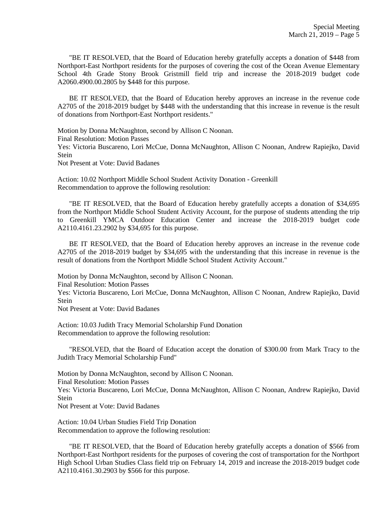"BE IT RESOLVED, that the Board of Education hereby gratefully accepts a donation of \$448 from Northport-East Northport residents for the purposes of covering the cost of the Ocean Avenue Elementary School 4th Grade Stony Brook Gristmill field trip and increase the 2018-2019 budget code A2060.4900.00.2805 by \$448 for this purpose.

 BE IT RESOLVED, that the Board of Education hereby approves an increase in the revenue code A2705 of the 2018-2019 budget by \$448 with the understanding that this increase in revenue is the result of donations from Northport-East Northport residents."

Motion by Donna McNaughton, second by Allison C Noonan. Final Resolution: Motion Passes Yes: Victoria Buscareno, Lori McCue, Donna McNaughton, Allison C Noonan, Andrew Rapiejko, David Stein Not Present at Vote: David Badanes

Action: 10.02 Northport Middle School Student Activity Donation - Greenkill Recommendation to approve the following resolution:

 "BE IT RESOLVED, that the Board of Education hereby gratefully accepts a donation of \$34,695 from the Northport Middle School Student Activity Account, for the purpose of students attending the trip to Greenkill YMCA Outdoor Education Center and increase the 2018-2019 budget code A2110.4161.23.2902 by \$34,695 for this purpose.

 BE IT RESOLVED, that the Board of Education hereby approves an increase in the revenue code A2705 of the 2018-2019 budget by \$34,695 with the understanding that this increase in revenue is the result of donations from the Northport Middle School Student Activity Account."

Motion by Donna McNaughton, second by Allison C Noonan. Final Resolution: Motion Passes Yes: Victoria Buscareno, Lori McCue, Donna McNaughton, Allison C Noonan, Andrew Rapiejko, David **Stein** Not Present at Vote: David Badanes

Action: 10.03 Judith Tracy Memorial Scholarship Fund Donation Recommendation to approve the following resolution:

 "RESOLVED, that the Board of Education accept the donation of \$300.00 from Mark Tracy to the Judith Tracy Memorial Scholarship Fund"

Motion by Donna McNaughton, second by Allison C Noonan. Final Resolution: Motion Passes Yes: Victoria Buscareno, Lori McCue, Donna McNaughton, Allison C Noonan, Andrew Rapiejko, David Stein Not Present at Vote: David Badanes

Action: 10.04 Urban Studies Field Trip Donation Recommendation to approve the following resolution:

 "BE IT RESOLVED, that the Board of Education hereby gratefully accepts a donation of \$566 from Northport-East Northport residents for the purposes of covering the cost of transportation for the Northport High School Urban Studies Class field trip on February 14, 2019 and increase the 2018-2019 budget code A2110.4161.30.2903 by \$566 for this purpose.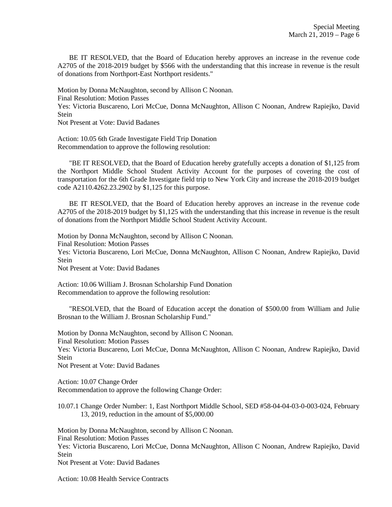BE IT RESOLVED, that the Board of Education hereby approves an increase in the revenue code A2705 of the 2018-2019 budget by \$566 with the understanding that this increase in revenue is the result of donations from Northport-East Northport residents."

Motion by Donna McNaughton, second by Allison C Noonan. Final Resolution: Motion Passes Yes: Victoria Buscareno, Lori McCue, Donna McNaughton, Allison C Noonan, Andrew Rapiejko, David Stein Not Present at Vote: David Badanes

Action: 10.05 6th Grade Investigate Field Trip Donation Recommendation to approve the following resolution:

 "BE IT RESOLVED, that the Board of Education hereby gratefully accepts a donation of \$1,125 from the Northport Middle School Student Activity Account for the purposes of covering the cost of transportation for the 6th Grade Investigate field trip to New York City and increase the 2018-2019 budget code A2110.4262.23.2902 by \$1,125 for this purpose.

 BE IT RESOLVED, that the Board of Education hereby approves an increase in the revenue code A2705 of the 2018-2019 budget by \$1,125 with the understanding that this increase in revenue is the result of donations from the Northport Middle School Student Activity Account.

Motion by Donna McNaughton, second by Allison C Noonan. Final Resolution: Motion Passes Yes: Victoria Buscareno, Lori McCue, Donna McNaughton, Allison C Noonan, Andrew Rapiejko, David Stein Not Present at Vote: David Badanes

Action: 10.06 William J. Brosnan Scholarship Fund Donation Recommendation to approve the following resolution:

 "RESOLVED, that the Board of Education accept the donation of \$500.00 from William and Julie Brosnan to the William J. Brosnan Scholarship Fund."

Motion by Donna McNaughton, second by Allison C Noonan. Final Resolution: Motion Passes Yes: Victoria Buscareno, Lori McCue, Donna McNaughton, Allison C Noonan, Andrew Rapiejko, David **Stein** 

Not Present at Vote: David Badanes

Action: 10.07 Change Order Recommendation to approve the following Change Order:

10.07.1 Change Order Number: 1, East Northport Middle School, SED #58-04-04-03-0-003-024, February 13, 2019, reduction in the amount of \$5,000.00

Motion by Donna McNaughton, second by Allison C Noonan. Final Resolution: Motion Passes Yes: Victoria Buscareno, Lori McCue, Donna McNaughton, Allison C Noonan, Andrew Rapiejko, David Stein Not Present at Vote: David Badanes

Action: 10.08 Health Service Contracts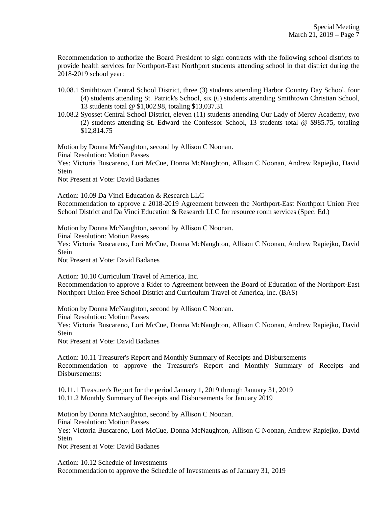Recommendation to authorize the Board President to sign contracts with the following school districts to provide health services for Northport-East Northport students attending school in that district during the 2018-2019 school year:

- 10.08.1 Smithtown Central School District, three (3) students attending Harbor Country Day School, four (4) students attending St. Patrick's School, six (6) students attending Smithtown Christian School, 13 students total @ \$1,002.98, totaling \$13,037.31
- 10.08.2 Syosset Central School District, eleven (11) students attending Our Lady of Mercy Academy, two (2) students attending St. Edward the Confessor School, 13 students total @ \$985.75, totaling \$12,814.75

Motion by Donna McNaughton, second by Allison C Noonan. Final Resolution: Motion Passes

Yes: Victoria Buscareno, Lori McCue, Donna McNaughton, Allison C Noonan, Andrew Rapiejko, David **Stein** 

Not Present at Vote: David Badanes

Action: 10.09 Da Vinci Education & Research LLC Recommendation to approve a 2018-2019 Agreement between the Northport-East Northport Union Free School District and Da Vinci Education & Research LLC for resource room services (Spec. Ed.)

Motion by Donna McNaughton, second by Allison C Noonan.

Final Resolution: Motion Passes

Yes: Victoria Buscareno, Lori McCue, Donna McNaughton, Allison C Noonan, Andrew Rapiejko, David **Stein** 

Not Present at Vote: David Badanes

Action: 10.10 Curriculum Travel of America, Inc.

Recommendation to approve a Rider to Agreement between the Board of Education of the Northport-East Northport Union Free School District and Curriculum Travel of America, Inc. (BAS)

Motion by Donna McNaughton, second by Allison C Noonan.

Final Resolution: Motion Passes

Yes: Victoria Buscareno, Lori McCue, Donna McNaughton, Allison C Noonan, Andrew Rapiejko, David Stein

Not Present at Vote: David Badanes

Action: 10.11 Treasurer's Report and Monthly Summary of Receipts and Disbursements Recommendation to approve the Treasurer's Report and Monthly Summary of Receipts and Disbursements:

10.11.1 Treasurer's Report for the period January 1, 2019 through January 31, 2019 10.11.2 Monthly Summary of Receipts and Disbursements for January 2019

Motion by Donna McNaughton, second by Allison C Noonan. Final Resolution: Motion Passes Yes: Victoria Buscareno, Lori McCue, Donna McNaughton, Allison C Noonan, Andrew Rapiejko, David **Stein** Not Present at Vote: David Badanes

Action: 10.12 Schedule of Investments Recommendation to approve the Schedule of Investments as of January 31, 2019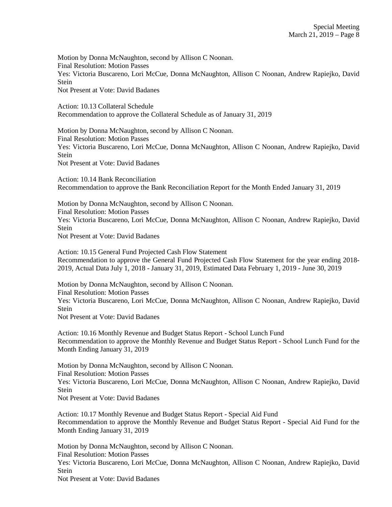Motion by Donna McNaughton, second by Allison C Noonan. Final Resolution: Motion Passes Yes: Victoria Buscareno, Lori McCue, Donna McNaughton, Allison C Noonan, Andrew Rapiejko, David Stein Not Present at Vote: David Badanes

Action: 10.13 Collateral Schedule Recommendation to approve the Collateral Schedule as of January 31, 2019

Motion by Donna McNaughton, second by Allison C Noonan. Final Resolution: Motion Passes Yes: Victoria Buscareno, Lori McCue, Donna McNaughton, Allison C Noonan, Andrew Rapiejko, David Stein Not Present at Vote: David Badanes

Action: 10.14 Bank Reconciliation Recommendation to approve the Bank Reconciliation Report for the Month Ended January 31, 2019

Motion by Donna McNaughton, second by Allison C Noonan. Final Resolution: Motion Passes Yes: Victoria Buscareno, Lori McCue, Donna McNaughton, Allison C Noonan, Andrew Rapiejko, David Stein Not Present at Vote: David Badanes

Action: 10.15 General Fund Projected Cash Flow Statement Recommendation to approve the General Fund Projected Cash Flow Statement for the year ending 2018- 2019, Actual Data July 1, 2018 - January 31, 2019, Estimated Data February 1, 2019 - June 30, 2019

Motion by Donna McNaughton, second by Allison C Noonan. Final Resolution: Motion Passes Yes: Victoria Buscareno, Lori McCue, Donna McNaughton, Allison C Noonan, Andrew Rapiejko, David Stein Not Present at Vote: David Badanes

Action: 10.16 Monthly Revenue and Budget Status Report - School Lunch Fund Recommendation to approve the Monthly Revenue and Budget Status Report - School Lunch Fund for the Month Ending January 31, 2019

Motion by Donna McNaughton, second by Allison C Noonan. Final Resolution: Motion Passes Yes: Victoria Buscareno, Lori McCue, Donna McNaughton, Allison C Noonan, Andrew Rapiejko, David **Stein** Not Present at Vote: David Badanes

Action: 10.17 Monthly Revenue and Budget Status Report - Special Aid Fund Recommendation to approve the Monthly Revenue and Budget Status Report - Special Aid Fund for the Month Ending January 31, 2019

Motion by Donna McNaughton, second by Allison C Noonan. Final Resolution: Motion Passes Yes: Victoria Buscareno, Lori McCue, Donna McNaughton, Allison C Noonan, Andrew Rapiejko, David Stein

Not Present at Vote: David Badanes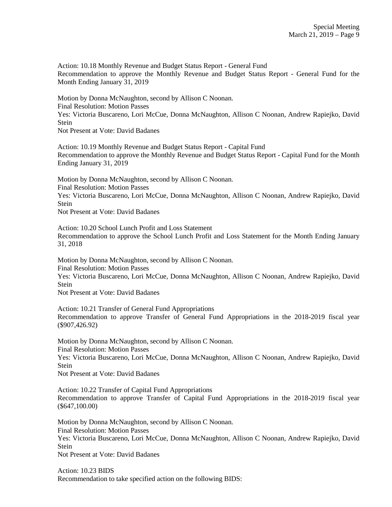Action: 10.18 Monthly Revenue and Budget Status Report - General Fund Recommendation to approve the Monthly Revenue and Budget Status Report - General Fund for the Month Ending January 31, 2019

Motion by Donna McNaughton, second by Allison C Noonan. Final Resolution: Motion Passes Yes: Victoria Buscareno, Lori McCue, Donna McNaughton, Allison C Noonan, Andrew Rapiejko, David **Stein** Not Present at Vote: David Badanes

Action: 10.19 Monthly Revenue and Budget Status Report - Capital Fund Recommendation to approve the Monthly Revenue and Budget Status Report - Capital Fund for the Month Ending January 31, 2019

Motion by Donna McNaughton, second by Allison C Noonan. Final Resolution: Motion Passes Yes: Victoria Buscareno, Lori McCue, Donna McNaughton, Allison C Noonan, Andrew Rapiejko, David **Stein** 

Not Present at Vote: David Badanes

Action: 10.20 School Lunch Profit and Loss Statement Recommendation to approve the School Lunch Profit and Loss Statement for the Month Ending January 31, 2018

Motion by Donna McNaughton, second by Allison C Noonan. Final Resolution: Motion Passes Yes: Victoria Buscareno, Lori McCue, Donna McNaughton, Allison C Noonan, Andrew Rapiejko, David **Stein** Not Present at Vote: David Badanes

Action: 10.21 Transfer of General Fund Appropriations Recommendation to approve Transfer of General Fund Appropriations in the 2018-2019 fiscal year (\$907,426.92)

Motion by Donna McNaughton, second by Allison C Noonan. Final Resolution: Motion Passes Yes: Victoria Buscareno, Lori McCue, Donna McNaughton, Allison C Noonan, Andrew Rapiejko, David **Stein** Not Present at Vote: David Badanes

Action: 10.22 Transfer of Capital Fund Appropriations Recommendation to approve Transfer of Capital Fund Appropriations in the 2018-2019 fiscal year (\$647,100.00)

Motion by Donna McNaughton, second by Allison C Noonan. Final Resolution: Motion Passes Yes: Victoria Buscareno, Lori McCue, Donna McNaughton, Allison C Noonan, Andrew Rapiejko, David **Stein** Not Present at Vote: David Badanes

Action: 10.23 BIDS Recommendation to take specified action on the following BIDS: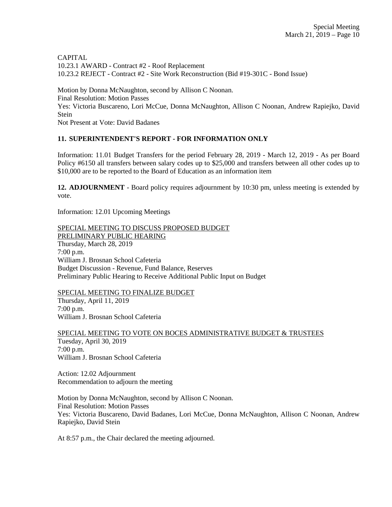CAPITAL 10.23.1 AWARD - Contract #2 - Roof Replacement 10.23.2 REJECT - Contract #2 - Site Work Reconstruction (Bid #19-301C - Bond Issue) Motion by Donna McNaughton, second by Allison C Noonan. Final Resolution: Motion Passes Yes: Victoria Buscareno, Lori McCue, Donna McNaughton, Allison C Noonan, Andrew Rapiejko, David Stein

Not Present at Vote: David Badanes

# **11. SUPERINTENDENT'S REPORT - FOR INFORMATION ONLY**

Information: 11.01 Budget Transfers for the period February 28, 2019 - March 12, 2019 - As per Board Policy #6150 all transfers between salary codes up to \$25,000 and transfers between all other codes up to \$10,000 are to be reported to the Board of Education as an information item

**12. ADJOURNMENT** - Board policy requires adjournment by 10:30 pm, unless meeting is extended by vote.

Information: 12.01 Upcoming Meetings

SPECIAL MEETING TO DISCUSS PROPOSED BUDGET PRELIMINARY PUBLIC HEARING Thursday, March 28, 2019 7:00 p.m. William J. Brosnan School Cafeteria Budget Discussion - Revenue, Fund Balance, Reserves Preliminary Public Hearing to Receive Additional Public Input on Budget

SPECIAL MEETING TO FINALIZE BUDGET

Thursday, April 11, 2019 7:00 p.m. William J. Brosnan School Cafeteria

SPECIAL MEETING TO VOTE ON BOCES ADMINISTRATIVE BUDGET & TRUSTEES Tuesday, April 30, 2019 7:00 p.m. William J. Brosnan School Cafeteria

Action: 12.02 Adjournment Recommendation to adjourn the meeting

Motion by Donna McNaughton, second by Allison C Noonan. Final Resolution: Motion Passes Yes: Victoria Buscareno, David Badanes, Lori McCue, Donna McNaughton, Allison C Noonan, Andrew Rapiejko, David Stein

At 8:57 p.m., the Chair declared the meeting adjourned.